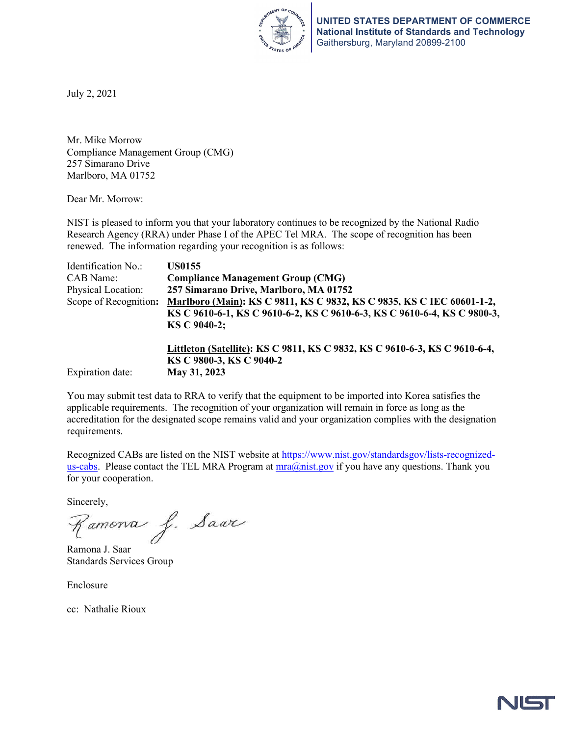

July 2, 2021

Mr. Mike Morrow Compliance Management Group (CMG) 257 Simarano Drive Marlboro, MA 01752

Dear Mr. Morrow:

NIST is pleased to inform you that your laboratory continues to be recognized by the National Radio Research Agency (RRA) under Phase I of the APEC Tel MRA. The scope of recognition has been renewed. The information regarding your recognition is as follows:

| Identification No.:   | <b>US0155</b>                                                                                                                                                     |
|-----------------------|-------------------------------------------------------------------------------------------------------------------------------------------------------------------|
| CAB Name:             | <b>Compliance Management Group (CMG)</b>                                                                                                                          |
| Physical Location:    | 257 Simarano Drive, Marlboro, MA 01752                                                                                                                            |
| Scope of Recognition: | Marlboro (Main): KS C 9811, KS C 9832, KS C 9835, KS C IEC 60601-1-2,<br>KS C 9610-6-1, KS C 9610-6-2, KS C 9610-6-3, KS C 9610-6-4, KS C 9800-3,<br>KS C 9040-2: |
| Expiration date:      | Littleton (Satellite): KS C 9811, KS C 9832, KS C 9610-6-3, KS C 9610-6-4,<br>KS C 9800-3, KS C 9040-2<br>May 31, 2023                                            |

You may submit test data to RRA to verify that the equipment to be imported into Korea satisfies the applicable requirements. The recognition of your organization will remain in force as long as the accreditation for the designated scope remains valid and your organization complies with the designation requirements.

Recognized CABs are listed on the NIST website at [https://www.nist.gov/standardsgov/lists-recognized](https://www.nist.gov/standardsgov/lists-recognized-us-cabs)[us-cabs.](https://www.nist.gov/standardsgov/lists-recognized-us-cabs) Please contact the TEL MRA Program at  $mra@nist.gov$  if you have any questions. Thank you for your cooperation.

Sincerely,

Ramona J. Saar

Ramona J. Saar Standards Services Group

Enclosure

cc: Nathalie Rioux

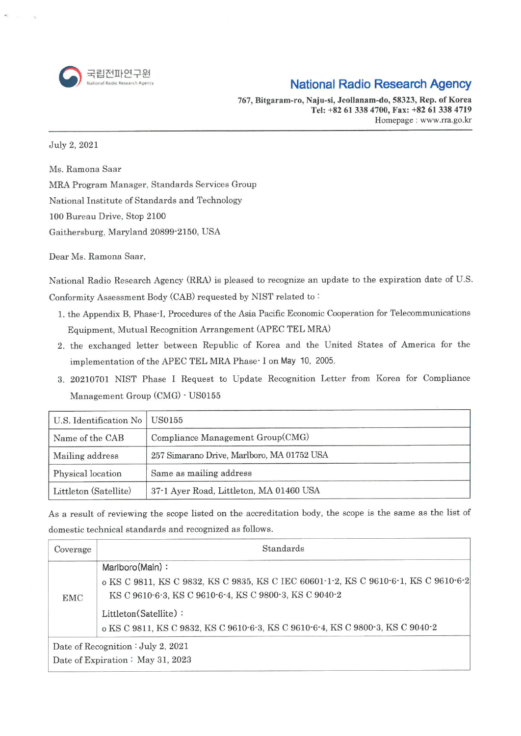

## **National Radio Research Agency**

767, Bitgaram-ro, Naju-si, Jeollanam-do, 58323, Rep. of Korea Tel: +82 61 338 4700, Fax: +82 61 338 4719 Homepage: www.rra.go.kr

July 2, 2021

Ms. Ramona Saar

MRA Program Manager, Standards Services Group

National Institute of Standards and Technology

100 Bureau Drive, Stop 2100

Gaithersburg, Maryland 20899-2150, USA

Dear Ms. Ramona Saar,

National Radio Research Agency (RRA) is pleased to recognize an update to the expiration date of U.S. Conformity Assessment Body (CAB) requested by NIST related to:

- 1. the Appendix B, Phase-I, Procedures of the Asia Pacific Economic Cooperation for Telecommunications Equipment, Mutual Recognition Arrangement (APEC TEL MRA)
- 2. the exchanged letter between Republic of Korea and the United States of America for the implementation of the APEC TEL MRA Phase - I on May 10, 2005.
- 3. 20210701 NIST Phase I Request to Update Recognition Letter from Korea for Compliance Management Group (CMG) - US0155

| U.S. Identification No   US0155 |                                            |
|---------------------------------|--------------------------------------------|
| Name of the CAB                 | Compliance Management Group(CMG)           |
| Mailing address                 | 257 Simarano Drive, Marlboro, MA 01752 USA |
| Physical location               | Same as mailing address                    |
| Littleton (Satellite)           | 37-1 Ayer Road, Littleton, MA 01460 USA    |

As a result of reviewing the scope listed on the accreditation body, the scope is the same as the list of domestic technical standards and recognized as follows.

| Coverage | Standards                                                                           |
|----------|-------------------------------------------------------------------------------------|
| EMC      | Marlboro(Main):                                                                     |
|          | o KS C 9811, KS C 9832, KS C 9835, KS C IEC 60601-1-2, KS C 9610-6-1, KS C 9610-6-2 |
|          | KS C 9610-6-3, KS C 9610-6-4, KS C 9800-3, KS C 9040-2                              |
|          | Littleton(Satellite):                                                               |
|          | o KS C 9811, KS C 9832, KS C 9610-6-3, KS C 9610-6-4, KS C 9800-3, KS C 9040-2      |
|          | Date of Recognition $:$ July 2, 2021                                                |
|          | Date of Expiration: May 31, 2023                                                    |